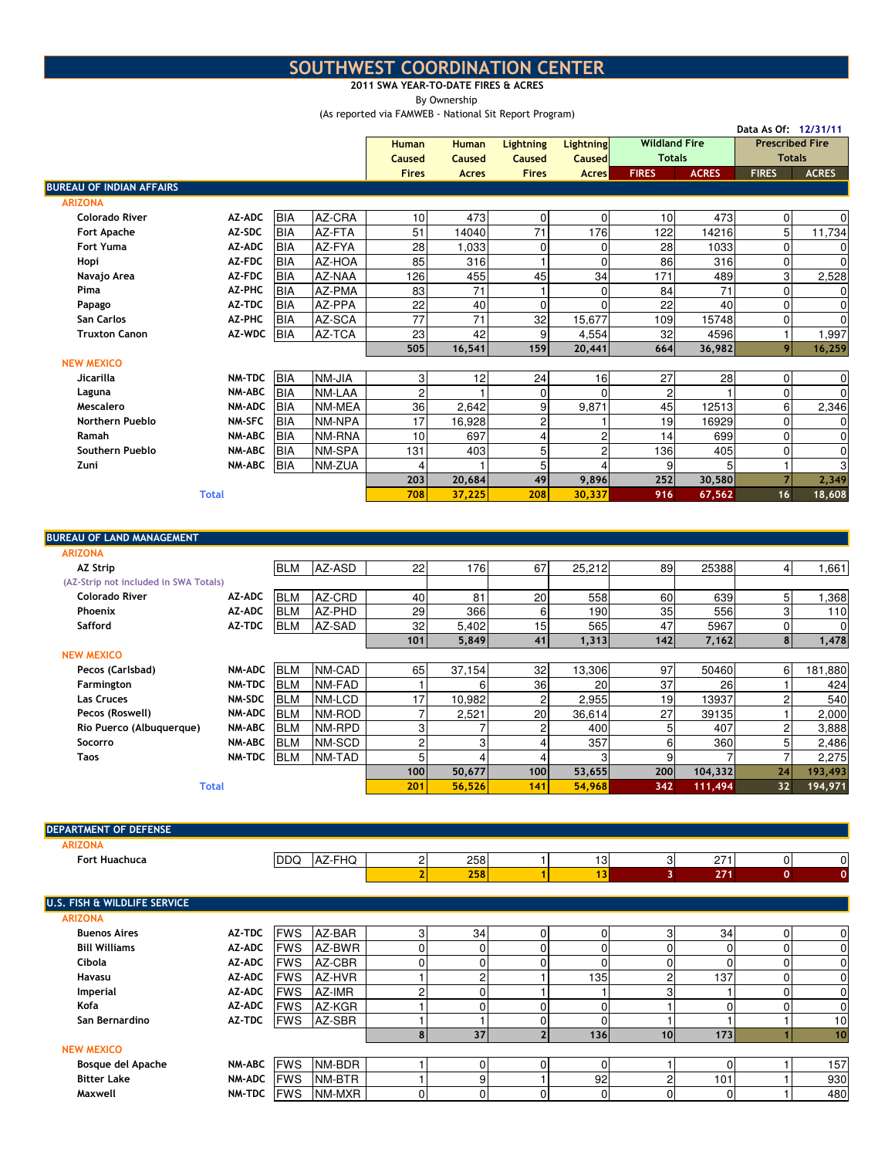## SOUTHWEST COORDINATION CENTER

## 2011 SWA YEAR-TO-DATE FIRES & ACRES

By Ownership

(As reported via FAMWEB - National Sit Report Program)

Data As Of: 12/31/11

|                                 |               |            |        |                 |              |                  |                  |                      |              | Data As Of: 12/31/11   |              |
|---------------------------------|---------------|------------|--------|-----------------|--------------|------------------|------------------|----------------------|--------------|------------------------|--------------|
|                                 |               |            |        | <b>Human</b>    | <b>Human</b> | <b>Lightning</b> | <b>Lightning</b> | <b>Wildland Fire</b> |              | <b>Prescribed Fire</b> |              |
|                                 |               |            |        | Caused          | Caused       | Caused           | <b>Caused</b>    | <b>Totals</b>        |              | <b>Totals</b>          |              |
|                                 |               |            |        | <b>Fires</b>    | <b>Acres</b> | <b>Fires</b>     | <b>Acres</b>     | <b>FIRES</b>         | <b>ACRES</b> | <b>FIRES</b>           | <b>ACRES</b> |
| <b>BUREAU OF INDIAN AFFAIRS</b> |               |            |        |                 |              |                  |                  |                      |              |                        |              |
| <b>ARIZONA</b>                  |               |            |        |                 |              |                  |                  |                      |              |                        |              |
| <b>Colorado River</b>           | AZ-ADC        | <b>BIA</b> | AZ-CRA | 10 <sup>1</sup> | 473          | 0                | $\Omega$         | 10                   | 473          | $\overline{0}$         | 0            |
| Fort Apache                     | AZ-SDC        | <b>BIA</b> | AZ-FTA | 51              | 14040        | 71               | 176              | 122                  | 14216        | 5                      | 11,734       |
| <b>Fort Yuma</b>                | AZ-ADC        | <b>BIA</b> | AZ-FYA | 28              | 1,033        | 0                | $\Omega$         | 28                   | 1033         | $\Omega$               | 0            |
| Hopi                            | AZ-FDC        | <b>BIA</b> | AZ-HOA | 85              | 316          |                  | $\Omega$         | 86                   | 316          | $\overline{0}$         | 0            |
| Navajo Area                     | AZ-FDC        | <b>BIA</b> | AZ-NAA | 126             | 455          | 45               | 34               | 171                  | 489          | 3                      | 2,528        |
| Pima                            | AZ-PHC        | <b>BIA</b> | AZ-PMA | 83              | 71           |                  | $\Omega$         | 84                   | 71           | $\Omega$               | 0            |
| Papago                          | AZ-TDC        | <b>BIA</b> | AZ-PPA | 22              | 40           | 0                | $\Omega$         | 22                   | 40           | $\Omega$               | 0            |
| San Carlos                      | AZ-PHC        | <b>BIA</b> | AZ-SCA | 77              | 71           | 32               | 15,677           | 109                  | 15748        | $\Omega$               | $\Omega$     |
| <b>Truxton Canon</b>            | AZ-WDC        | <b>BIA</b> | AZ-TCA | 23              | 42           | 9                | 4,554            | 32                   | 4596         |                        | 1,997        |
|                                 |               |            |        | 505             | 16,541       | 159              | 20,441           | 664                  | 36,982       | 9                      | 16,259       |
| <b>NEW MEXICO</b>               |               |            |        |                 |              |                  |                  |                      |              |                        |              |
| Jicarilla                       | NM-TDC        | <b>BIA</b> | NM-JIA | 3 <sup>1</sup>  | 12           | 24               | 16               | 27                   | 28           | $\Omega$               | 0            |
| Laguna                          | <b>NM-ABC</b> | <b>BIA</b> | NM-LAA | $\mathbf{2}$    |              | 0                | $\Omega$         | $\overline{c}$       |              | $\overline{0}$         | 0            |
| Mescalero                       | NM-ADC        | <b>BIA</b> | NM-MEA | 36              | 2,642        | 9                | 9,871            | 45                   | 12513        | 6                      | 2,346        |
| <b>Northern Pueblo</b>          | <b>NM-SFC</b> | <b>BIA</b> | NM-NPA | 17              | 16,928       | 2                |                  | 19                   | 16929        | $\Omega$               | 0            |
| Ramah                           | NM-ABC        | <b>BIA</b> | NM-RNA | 10 <sup>1</sup> | 697          | 4                | $\overline{2}$   | 14                   | 699          | $\Omega$               | 0            |
| Southern Pueblo                 | <b>NM-ABC</b> | <b>BIA</b> | NM-SPA | 131             | 403          | 5                | 2                | 136                  | 405          | $\Omega$               | 0            |
| Zuni                            | <b>NM-ABC</b> | <b>BIA</b> | NM-ZUA |                 |              | 5                |                  | $\overline{9}$       |              |                        | 3            |
|                                 |               |            |        | 203             | 20,684       | 49               | 9,896            | 252                  | 30,580       |                        | 2,349        |
|                                 | <b>Total</b>  |            |        | 708             | 37,225       | 208              | 30,337           | 916                  | 67,562       | 16                     | 18,608       |
|                                 |               |            |        |                 |              |                  |                  |                      |              |                        |              |

## ARIZONA AZ Strip BLM AZ-ASD 22 176 67 25,212 89 25388 4 1,661 (AZ-Strip not included in SWA Totals) Colorado River AZ-ADC |BLM |AZ-CRD | 40| 81| 20| 558| 60| 639| 5| 1,368 Phoenix AZ-ADC BLM AZ-PHD 29 366 6 190 35 556 3 110 Safford AZ-TDC BLM AZ-SAD 32 5,402 15 565 47 5967 0 0 101 5,849 41 1,313 142 7,162 8 1,478 NEW MEXICO Pecos (Carlsbad) NM-ADC |BLM |NM-CAD | 65| 37,154| 32| 13,306| 97| 50460| 6| 181,880 Farmington NM-TDC BLM NM-FAD 1 6 36 20 37 26 1 424 Las Cruces NM-SDC |BLM |NM-LCD | 17| 10,982| 2| 2,955| 19| 13937| 2| 540 Pecos (Roswell) NM-ADC |BLM |NM-ROD | 7| 2,521| 20| 36,614| 27| 39135| 1| 2,000 Rio Puerco (Albuquerque) NM-ABC BLM NM-RPD 3 7 2 400 5 407 2 3,888 Socorro NM-ABC BLM NM-SCD 2 3 4 357 6 360 5 2,486 Taos NM-TDC BLM NM-TAD 5 4 4 3 9 7 7 2,275 100 50,677 100 53,655 200 104,332 24 193,493 Total 201 56,526 141 54,968 342 111,494 32 194,971 BUREAU OF LAND MANAGEMENT

| <b>DEPARTMENT OF DEFENSE</b> |               |             |        |    |          |                         |     |                |     |                |              |
|------------------------------|---------------|-------------|--------|----|----------|-------------------------|-----|----------------|-----|----------------|--------------|
| <b>ARIZONA</b>               |               |             |        |    |          |                         |     |                |     |                |              |
| <b>Fort Huachuca</b>         |               | DDQ.        | AZ-FHQ |    | 258      |                         | 13  | 3              | 271 | $\overline{0}$ | 0            |
|                              |               |             |        |    | 258      |                         | 13  | 3 <sup>1</sup> | 271 | $\mathbf{0}$   | $\mathbf{0}$ |
| U.S. FISH & WILDLIFE SERVICE |               |             |        |    |          |                         |     |                |     |                |              |
| <b>ARIZONA</b>               |               |             |        |    |          |                         |     |                |     |                |              |
| <b>Buenos Aires</b>          | <b>AZ-TDC</b> | <b>FWS</b>  | AZ-BAR | 3  | 34       | 0                       | 0   | 3              | 34  | 0              | 0            |
| <b>Bill Williams</b>         | <b>AZ-ADC</b> | <b>FWS</b>  | AZ-BWR |    |          | $\Omega$                | 0   |                |     | 0              | 0            |
| Cibola                       | <b>AZ-ADC</b> | <b>FWS</b>  | AZ-CBR |    |          | 0                       | 0   | 0              |     | 0              | 0            |
| Havasu                       | <b>AZ-ADC</b> | <b>IFWS</b> | AZ-HVR |    | c        |                         | 135 | 2              | 137 | 0              | 0            |
| Imperial                     | <b>AZ-ADC</b> | <b>FWS</b>  | AZ-IMR |    |          |                         |     | 3              |     | 0              | 0            |
| Kofa                         | <b>AZ-ADC</b> | <b>FWS</b>  | AZ-KGR |    |          | 0                       | 0   |                |     | O              | 0            |
| San Bernardino               | <b>AZ-TDC</b> | <b>FWS</b>  | AZ-SBR |    |          | 0                       | 0   |                |     |                | 10           |
|                              |               |             |        | 8  | 37       | $\overline{\mathbf{z}}$ | 136 | 10             | 173 |                | 10           |
| <b>NEW MEXICO</b>            |               |             |        |    |          |                         |     |                |     |                |              |
| Bosque del Apache            | NM-ABC FWS    |             | NM-BDR |    |          | 0                       | 0   |                |     |                | 157          |
| <b>Bitter Lake</b>           | <b>NM-ADC</b> | <b>FWS</b>  | NM-BTR |    | 9        |                         | 92  | 2              | 101 |                | 930          |
| Maxwell                      | NM-TDC        | <b>FWS</b>  | NM-MXR | ΩI | $\Omega$ | 0                       | 0   | $\Omega$       |     |                | 480          |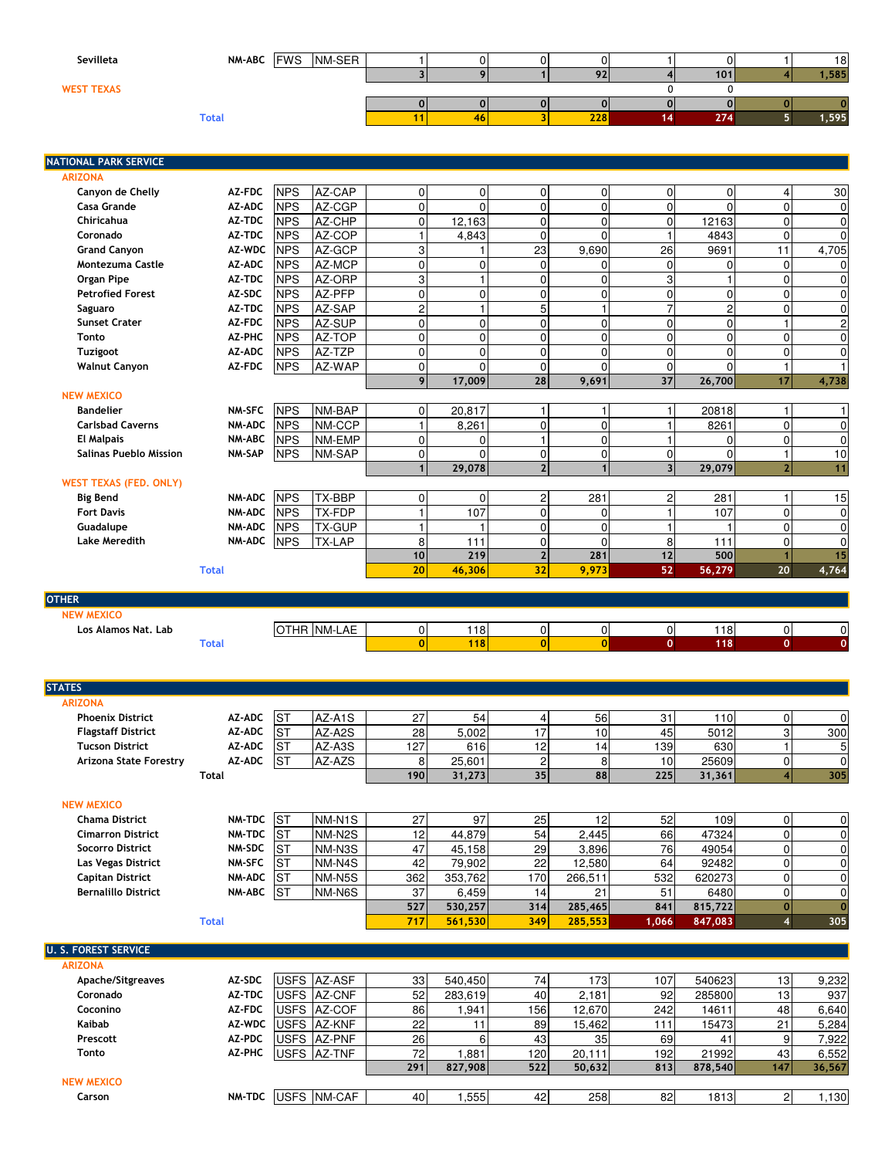| Sevilleta         | NM-ABC FWS NM-SER |    |     |     | 18    |
|-------------------|-------------------|----|-----|-----|-------|
|                   |                   |    | 92  | 101 | 1,585 |
| <b>WEST TEXAS</b> |                   |    |     |     |       |
|                   |                   |    |     |     |       |
|                   | <b>Total</b>      | 46 | 228 | 274 | 1,595 |
|                   |                   |    |     |     |       |
|                   |                   |    |     |     |       |

NATIONAL PARK SERVICE

| <b>ARIZONA</b>                |               |            |               |                |                |                |                |                         |             |                |                  |
|-------------------------------|---------------|------------|---------------|----------------|----------------|----------------|----------------|-------------------------|-------------|----------------|------------------|
| Canyon de Chelly              | <b>AZ-FDC</b> | <b>NPS</b> | AZ-CAP        | $\Omega$       | 0              | $\overline{0}$ | $\Omega$       | $\mathbf 0$             | $\mathbf 0$ | $\overline{4}$ | 30               |
| Casa Grande                   | AZ-ADC        | <b>NPS</b> | AZ-CGP        | $\Omega$       | $\Omega$       | $\Omega$       | $\Omega$       | 0                       | $\Omega$    | $\Omega$       | 0                |
| Chiricahua                    | AZ-TDC        | <b>NPS</b> | AZ-CHP        | $\Omega$       | 12,163         | $\overline{0}$ | $\Omega$       | 0                       | 12163       | $\Omega$       | $\boldsymbol{0}$ |
| Coronado                      | AZ-TDC        | <b>NPS</b> | AZ-COP        |                | 4,843          | $\Omega$       | $\Omega$       |                         | 4843        | $\Omega$       | $\mathbf 0$      |
| <b>Grand Canyon</b>           | AZ-WDC        | <b>NPS</b> | AZ-GCP        | 3              |                | 23             | 9,690          | 26                      | 9691        | 11             | 4,705            |
| <b>Montezuma Castle</b>       | AZ-ADC        | <b>NPS</b> | AZ-MCP        | $\mathbf 0$    | $\overline{0}$ | $\Omega$       | $\Omega$       | 0                       | $\Omega$    | $\Omega$       | $\mathbf 0$      |
| <b>Organ Pipe</b>             | AZ-TDC        | <b>NPS</b> | AZ-ORP        | 3              | $\mathbf{1}$   | $\Omega$       | $\Omega$       | 3                       |             | $\Omega$       | $\pmb{0}$        |
| <b>Petrofied Forest</b>       | AZ-SDC        | <b>NPS</b> | AZ-PFP        | $\Omega$       | 0              | $\Omega$       | $\Omega$       | 0                       | $\Omega$    | $\Omega$       | $\pmb{0}$        |
| Saguaro                       | AZ-TDC        | <b>NPS</b> | AZ-SAP        | $\overline{2}$ | $\mathbf{1}$   | 5 <sup>1</sup> |                | 7                       | 2           | $\Omega$       | $\boldsymbol{0}$ |
| <b>Sunset Crater</b>          | <b>AZ-FDC</b> | <b>NPS</b> | AZ-SUP        | $\mathbf 0$    | 0              | $\overline{0}$ | $\Omega$       | 0                       | 0           |                | $\overline{c}$   |
| Tonto                         | AZ-PHC        | <b>NPS</b> | AZ-TOP        | $\Omega$       | $\overline{0}$ | $\Omega$       | $\Omega$       | 0                       | $\Omega$    | $\Omega$       | $\pmb{0}$        |
| Tuzigoot                      | AZ-ADC        | <b>NPS</b> | AZ-TZP        | $\Omega$       | $\overline{0}$ | $\overline{0}$ | $\Omega$       | $\mathbf 0$             | $\Omega$    | $\Omega$       | $\mathbf 0$      |
| <b>Walnut Canyon</b>          | AZ-FDC        | <b>NPS</b> | AZ-WAP        | $\Omega$       | $\Omega$       | $\overline{0}$ | $\Omega$       | $\mathbf 0$             | $\Omega$    |                | $\mathbf{1}$     |
|                               |               |            |               | 9 <sub>l</sub> | 17,009         | 28             | 9,691          | 37                      | 26,700      | 17             | 4,738            |
| <b>NEW MEXICO</b>             |               |            |               |                |                |                |                |                         |             |                |                  |
| <b>Bandelier</b>              | NM-SFC        | <b>NPS</b> | NM-BAP        | $\Omega$       | 20,817         | 1              |                |                         | 20818       |                | 1                |
| <b>Carlsbad Caverns</b>       | NM-ADC        | <b>NPS</b> | NM-CCP        |                | 8,261          | $\overline{0}$ | 0              |                         | 8261        | $\Omega$       | $\pmb{0}$        |
| <b>El Malpais</b>             | NM-ABC        | <b>NPS</b> | NM-EMP        | $\Omega$       | 0              | $\mathbf{1}$   | 0              |                         | $\Omega$    | $\Omega$       | $\pmb{0}$        |
| <b>Salinas Pueblo Mission</b> | NM-SAP        | <b>NPS</b> | NM-SAP        | $\overline{0}$ | $\Omega$       | $\overline{0}$ | $\overline{0}$ | 0                       | $\Omega$    |                | 10               |
|                               |               |            |               | 1              | 29,078         | $\overline{2}$ | $\mathbf{1}$   | $\overline{\mathbf{3}}$ | 29,079      | 2 <sub>1</sub> | 11               |
| <b>WEST TEXAS (FED. ONLY)</b> |               |            |               |                |                |                |                |                         |             |                |                  |
| <b>Big Bend</b>               | <b>NM-ADC</b> | <b>NPS</b> | TX-BBP        | $\Omega$       | 0              | $\overline{c}$ | 281            | 2                       | 281         |                | 15               |
| <b>Fort Davis</b>             | NM-ADC        | <b>NPS</b> | TX-FDP        |                | 107            | $\overline{0}$ | $\Omega$       |                         | 107         | $\Omega$       | $\boldsymbol{0}$ |
| Guadalupe                     | <b>NM-ADC</b> | <b>NPS</b> | <b>TX-GUP</b> |                | 1              | $\Omega$       | $\Omega$       | 1                       |             | $\Omega$       | $\boldsymbol{0}$ |
| <b>Lake Meredith</b>          | <b>NM-ADC</b> | <b>NPS</b> | <b>TX-LAP</b> | 8              | 111            | $\overline{0}$ | $\Omega$       | 8                       | 111         | 0              | $\mathbf 0$      |
|                               |               |            |               | 10             | 219            | $\overline{2}$ | 281            | 12                      | 500         |                | 15               |
|                               | <b>Total</b>  |            |               | 20             | 46,306         | 32             | 9,973          | 52                      | 56,279      | 20             | 4,764            |
|                               |               |            |               |                |                |                |                |                         |             |                |                  |
| <b>OTHER</b>                  |               |            |               |                |                |                |                |                         |             |                |                  |
| <b>NEW MEXICO</b>             |               |            |               |                |                |                |                |                         |             |                |                  |
| Los Alamos Nat. Lab           |               |            | OTHR NM-LAE   | $\overline{0}$ | 118            | $\overline{0}$ | $\overline{0}$ | $\overline{0}$          | 118         | $\Omega$       | $\pmb{0}$        |
|                               | <b>Total</b>  |            |               | $\overline{0}$ | 118            | $\mathbf{0}$   | $\overline{0}$ | $\mathbf 0$             | 118         | $\mathbf 0$    | $\mathbf{0}$     |
|                               |               |            |               |                |                |                |                |                         |             |                |                  |
|                               |               |            |               |                |                |                |                |                         |             |                |                  |
| <b>STATES</b>                 |               |            |               |                |                |                |                |                         |             |                |                  |
| <b>ARIZONA</b>                |               |            |               |                |                |                |                |                         |             |                |                  |

| <b>Phoenix District</b>   | AZ-ADC | S <sup>T</sup> | AZ-A1S | 07.<br>ر ے | 54     |    | 56 | 21<br>ا ت | 110I   |              |     |
|---------------------------|--------|----------------|--------|------------|--------|----|----|-----------|--------|--------------|-----|
| <b>Flagstaff District</b> | AZ-ADC | S <sup>T</sup> | AZ-A2S | 28         | 1002.ز |    | 10 | 45        | 5012   | <sup>o</sup> | 300 |
| <b>Tucson District</b>    | AZ-ADC | S <sup>T</sup> | AZ-A3S | 1271       | 616    |    | 4  | 139       | 630    |              |     |
| Arizona State Forestry    | AZ-ADC | S <sup>T</sup> | AZ-AZS |            | 25.601 |    |    | 101       | 25609  |              |     |
|                           | Total  |                |        | 190        | 31,273 | 35 | 88 | 225       | 31,361 |              | 305 |

| <b>NEW MEXICO</b>          |               |           |                     |     |         |      |         |       |         |     |
|----------------------------|---------------|-----------|---------------------|-----|---------|------|---------|-------|---------|-----|
| <b>Chama District</b>      | NM-TDC ST     |           | NM-N <sub>1</sub> S | 27  | 97      | 25   |         | 52    | 1091    |     |
| <b>Cimarron District</b>   | NM-TDC IST    |           | NM-N2S              | 12  | 44.879  | 54   | 2.445   | 66    | 47324   |     |
| <b>Socorro District</b>    | NM-SDC ST     |           | NM-N3S              | 47  | 45,158  | 29   | 3,896   | 761   | 49054   |     |
| Las Vegas District         | <b>NM-SFC</b> | <b>ST</b> | NM-N4S              | 42  | 79,902  | 22   | 12,580  | 64    | 92482   |     |
| <b>Capitan District</b>    | NM-ADC ST     |           | <b>NM-N5S</b>       | 362 | 353,762 | 170I | 266,511 | 532   | 620273  |     |
| <b>Bernalillo District</b> | NM-ABC ST     |           | <b>NM-N6S</b>       | 37  | 6,459   |      | 21      | 51    | 6480    |     |
|                            |               |           |                     | 527 | 530.257 | 314  | 285,465 | 841   | 815.722 |     |
|                            | Total         |           |                     | 717 | 561.530 | 349  | 285.553 | 1.066 | 847.083 | 305 |

| <b>U. S. FOREST SERVICE</b> |               |                     |     |         |     |                 |      |         |     |        |
|-----------------------------|---------------|---------------------|-----|---------|-----|-----------------|------|---------|-----|--------|
| <b>ARIZONA</b>              |               |                     |     |         |     |                 |      |         |     |        |
| Apache/Sitgreaves           | AZ-SDC        | <b>USFS AZ-ASF</b>  | 33  | 540,450 | 74  | 173             | 107  | 540623  | 13  | 9,232  |
| Coronado                    | AZ-TDC        | <b>USFS AZ-CNF</b>  | 52  | 283,619 | 40  | 2,181           | 92   | 285800  | 13  | 937    |
| Coconino                    | AZ-FDC        | <b>USFS AZ-COF</b>  | 86  | .941    | 156 | 12,670          | 242  | 14611   | 48  | 6,640  |
| Kaibab                      | AZ-WDC        | <b>USFS JAZ-KNF</b> | 22  |         | 89  | 15,462          | 11   | 15473   | 21  | 5,284  |
| Prescott                    | AZ-PDC        | USFS AZ-PNF         | 26  |         | 43  | 35 <sub>1</sub> | 69   | 41      |     | 7,922  |
| Tonto                       | AZ-PHC        | USFS AZ-TNF         | 72  | .881    | 120 | 20,111          | 1921 | 21992   | 43  | 6,552  |
|                             |               |                     | 291 | 827.908 | 522 | 50,632          | 813  | 878,540 | 147 | 36,567 |
| <b>NEW MEXICO</b>           |               |                     |     |         |     |                 |      |         |     |        |
| Carson                      | <b>NM-TDC</b> | <b>USFS INM-CAF</b> | 40  | .555    | 42  | 258             | 82   | 1813    |     | 1,130  |